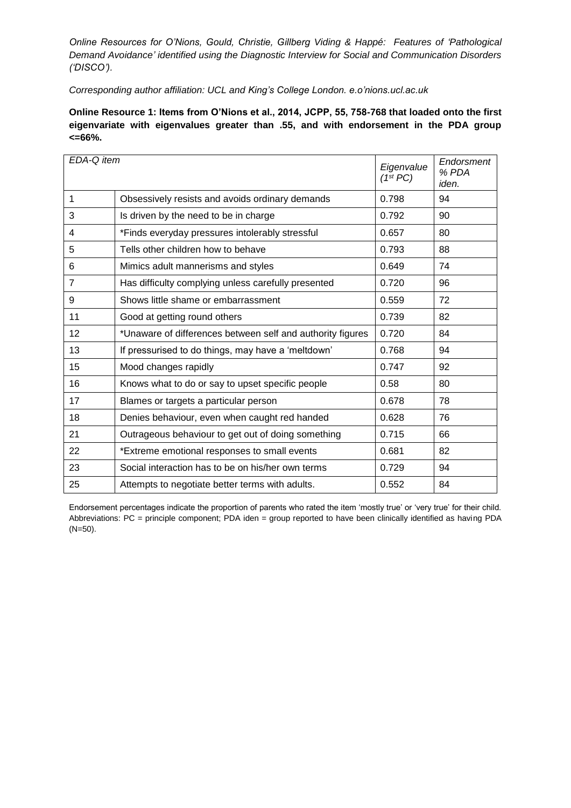*Online Resources for O'Nions, Gould, Christie, Gillberg Viding & Happé: Features of 'Pathological Demand Avoidance' identified using the Diagnostic Interview for Social and Communication Disorders ('DISCO').* 

*Corresponding author affiliation: UCL and King's College London. e.o'nions.ucl.ac.uk*

**Online Resource 1: Items from O'Nions et al., 2014, JCPP, 55, 758-768 that loaded onto the first eigenvariate with eigenvalues greater than .55, and with endorsement in the PDA group <=66%.**

| EDA-Q item |                                                            | Eigenvalue<br>$(1^{st} PC)$ | Endorsment<br>% PDA<br>iden. |
|------------|------------------------------------------------------------|-----------------------------|------------------------------|
| 1          | Obsessively resists and avoids ordinary demands            | 0.798                       | 94                           |
| 3          | Is driven by the need to be in charge                      | 0.792                       | 90                           |
| 4          | *Finds everyday pressures intolerably stressful            | 0.657                       | 80                           |
| 5          | Tells other children how to behave                         | 0.793                       | 88                           |
| 6          | Mimics adult mannerisms and styles                         | 0.649                       | 74                           |
| 7          | Has difficulty complying unless carefully presented        | 0.720                       | 96                           |
| 9          | Shows little shame or embarrassment                        | 0.559                       | 72                           |
| 11         | Good at getting round others                               | 0.739                       | 82                           |
| 12         | *Unaware of differences between self and authority figures | 0.720                       | 84                           |
| 13         | If pressurised to do things, may have a 'meltdown'         | 0.768                       | 94                           |
| 15         | Mood changes rapidly                                       | 0.747                       | 92                           |
| 16         | Knows what to do or say to upset specific people           | 0.58                        | 80                           |
| 17         | Blames or targets a particular person                      | 0.678                       | 78                           |
| 18         | Denies behaviour, even when caught red handed              | 0.628                       | 76                           |
| 21         | Outrageous behaviour to get out of doing something         | 0.715                       | 66                           |
| 22         | *Extreme emotional responses to small events               | 0.681                       | 82                           |
| 23         | Social interaction has to be on his/her own terms          | 0.729                       | 94                           |
| 25         | Attempts to negotiate better terms with adults.            | 0.552                       | 84                           |

Endorsement percentages indicate the proportion of parents who rated the item 'mostly true' or 'very true' for their child. Abbreviations: PC = principle component; PDA iden = group reported to have been clinically identified as having PDA (N=50).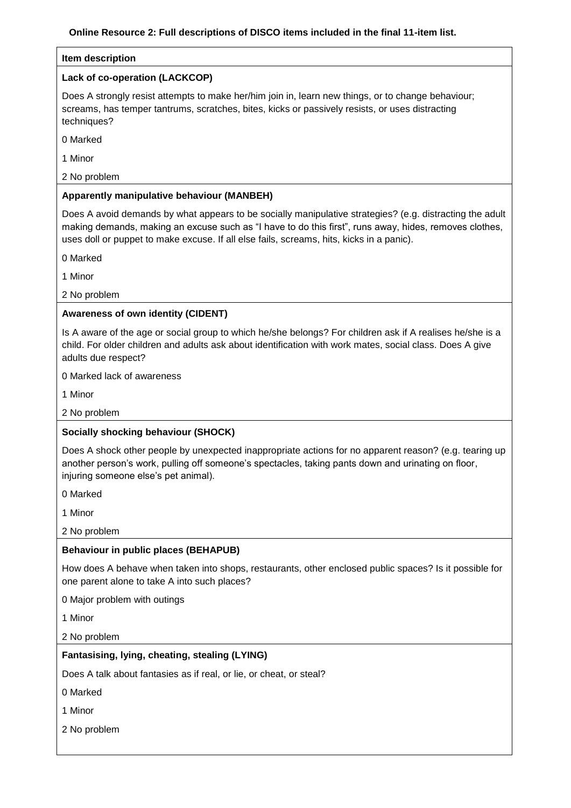### **Item description**

### **Lack of co-operation (LACKCOP)**

Does A strongly resist attempts to make her/him join in, learn new things, or to change behaviour; screams, has temper tantrums, scratches, bites, kicks or passively resists, or uses distracting techniques?

0 Marked

1 Minor

2 No problem

# **Apparently manipulative behaviour (MANBEH)**

Does A avoid demands by what appears to be socially manipulative strategies? (e.g. distracting the adult making demands, making an excuse such as "I have to do this first", runs away, hides, removes clothes, uses doll or puppet to make excuse. If all else fails, screams, hits, kicks in a panic).

0 Marked

1 Minor

2 No problem

# **Awareness of own identity (CIDENT)**

Is A aware of the age or social group to which he/she belongs? For children ask if A realises he/she is a child. For older children and adults ask about identification with work mates, social class. Does A give adults due respect?

0 Marked lack of awareness

1 Minor

2 No problem

## **Socially shocking behaviour (SHOCK)**

Does A shock other people by unexpected inappropriate actions for no apparent reason? (e.g. tearing up another person's work, pulling off someone's spectacles, taking pants down and urinating on floor, injuring someone else's pet animal).

0 Marked

1 Minor

2 No problem

## **Behaviour in public places (BEHAPUB)**

How does A behave when taken into shops, restaurants, other enclosed public spaces? Is it possible for one parent alone to take A into such places?

0 Major problem with outings

1 Minor

2 No problem

## **Fantasising, lying, cheating, stealing (LYING)**

Does A talk about fantasies as if real, or lie, or cheat, or steal?

0 Marked

1 Minor

2 No problem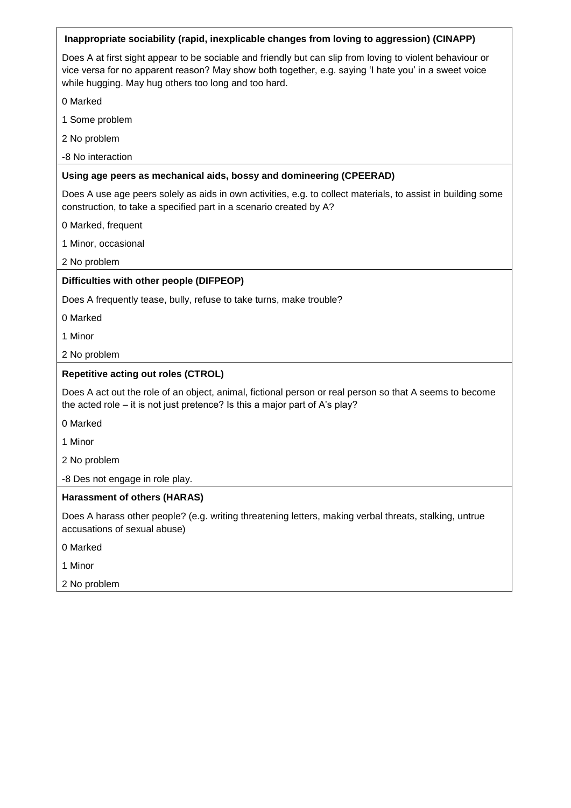| Inappropriate sociability (rapid, inexplicable changes from loving to aggression) (CINAPP)                                                                                                                                                                                |  |  |  |  |
|---------------------------------------------------------------------------------------------------------------------------------------------------------------------------------------------------------------------------------------------------------------------------|--|--|--|--|
| Does A at first sight appear to be sociable and friendly but can slip from loving to violent behaviour or<br>vice versa for no apparent reason? May show both together, e.g. saying 'I hate you' in a sweet voice<br>while hugging. May hug others too long and too hard. |  |  |  |  |
| 0 Marked                                                                                                                                                                                                                                                                  |  |  |  |  |
| 1 Some problem                                                                                                                                                                                                                                                            |  |  |  |  |
| 2 No problem                                                                                                                                                                                                                                                              |  |  |  |  |
| -8 No interaction                                                                                                                                                                                                                                                         |  |  |  |  |
| Using age peers as mechanical aids, bossy and domineering (CPEERAD)                                                                                                                                                                                                       |  |  |  |  |
| Does A use age peers solely as aids in own activities, e.g. to collect materials, to assist in building some<br>construction, to take a specified part in a scenario created by A?                                                                                        |  |  |  |  |
| 0 Marked, frequent                                                                                                                                                                                                                                                        |  |  |  |  |
| 1 Minor, occasional                                                                                                                                                                                                                                                       |  |  |  |  |
| 2 No problem                                                                                                                                                                                                                                                              |  |  |  |  |
| Difficulties with other people (DIFPEOP)                                                                                                                                                                                                                                  |  |  |  |  |
| Does A frequently tease, bully, refuse to take turns, make trouble?                                                                                                                                                                                                       |  |  |  |  |
| 0 Marked                                                                                                                                                                                                                                                                  |  |  |  |  |
| 1 Minor                                                                                                                                                                                                                                                                   |  |  |  |  |
| 2 No problem                                                                                                                                                                                                                                                              |  |  |  |  |
| <b>Repetitive acting out roles (CTROL)</b>                                                                                                                                                                                                                                |  |  |  |  |
| Does A act out the role of an object, animal, fictional person or real person so that A seems to become<br>the acted role - it is not just pretence? Is this a major part of A's play?                                                                                    |  |  |  |  |
| 0 Marked                                                                                                                                                                                                                                                                  |  |  |  |  |
| 1 Minor                                                                                                                                                                                                                                                                   |  |  |  |  |
| 2 No problem                                                                                                                                                                                                                                                              |  |  |  |  |
| -8 Des not engage in role play.                                                                                                                                                                                                                                           |  |  |  |  |
| <b>Harassment of others (HARAS)</b>                                                                                                                                                                                                                                       |  |  |  |  |
| Does A harass other people? (e.g. writing threatening letters, making verbal threats, stalking, untrue<br>accusations of sexual abuse)                                                                                                                                    |  |  |  |  |
| 0 Marked                                                                                                                                                                                                                                                                  |  |  |  |  |
| 1 Minor                                                                                                                                                                                                                                                                   |  |  |  |  |
| 2 No problem                                                                                                                                                                                                                                                              |  |  |  |  |
|                                                                                                                                                                                                                                                                           |  |  |  |  |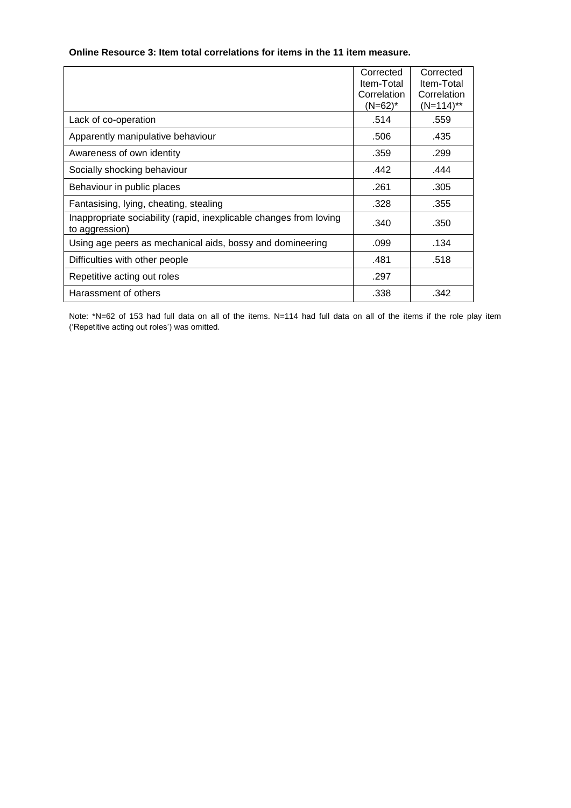# **Online Resource 3: Item total correlations for items in the 11 item measure.**

|                                                                                      | Corrected<br>Item-Total<br>Correlation<br>(N=62)* | Corrected<br>Item-Total<br>Correlation<br>(N=114)** |
|--------------------------------------------------------------------------------------|---------------------------------------------------|-----------------------------------------------------|
| Lack of co-operation                                                                 | .514                                              | .559                                                |
| Apparently manipulative behaviour                                                    | .506                                              | .435                                                |
| Awareness of own identity                                                            | .359                                              | .299                                                |
| Socially shocking behaviour                                                          | .442                                              | .444                                                |
| Behaviour in public places                                                           | .261                                              | .305                                                |
| Fantasising, lying, cheating, stealing                                               | .328                                              | .355                                                |
| Inappropriate sociability (rapid, inexplicable changes from loving<br>to aggression) | .340                                              | .350                                                |
| Using age peers as mechanical aids, bossy and domineering                            | .099                                              | .134                                                |
| Difficulties with other people                                                       | .481                                              | .518                                                |
| Repetitive acting out roles                                                          | .297                                              |                                                     |
| Harassment of others                                                                 | .338                                              | .342                                                |

Note: \*N=62 of 153 had full data on all of the items. N=114 had full data on all of the items if the role play item ('Repetitive acting out roles') was omitted.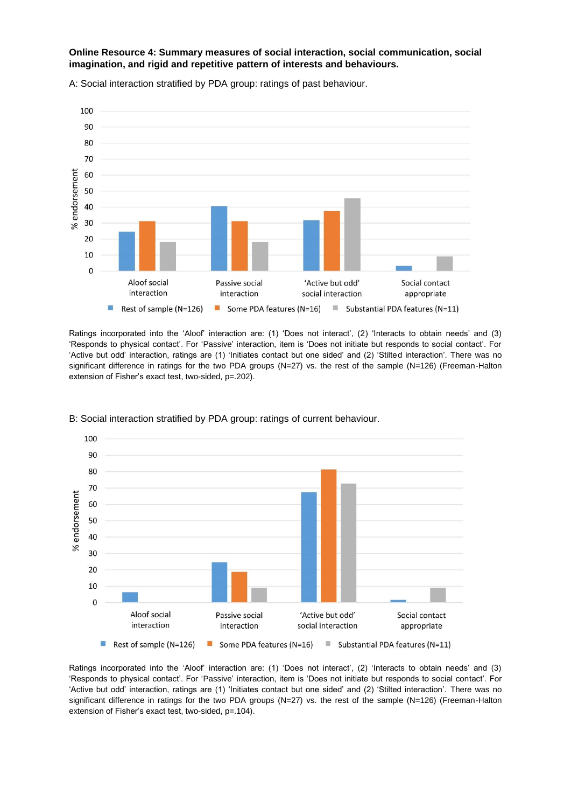**Online Resource 4: Summary measures of social interaction, social communication, social imagination, and rigid and repetitive pattern of interests and behaviours.**



A: Social interaction stratified by PDA group: ratings of past behaviour.

Ratings incorporated into the 'Aloof' interaction are: (1) 'Does not interact', (2) 'Interacts to obtain needs' and (3) 'Responds to physical contact'. For 'Passive' interaction, item is 'Does not initiate but responds to social contact'. For 'Active but odd' interaction, ratings are (1) 'Initiates contact but one sided' and (2) 'Stilted interaction'. There was no significant difference in ratings for the two PDA groups (N=27) vs. the rest of the sample (N=126) (Freeman-Halton extension of Fisher's exact test, two-sided, p=.202).



B: Social interaction stratified by PDA group: ratings of current behaviour.

Ratings incorporated into the 'Aloof' interaction are: (1) 'Does not interact', (2) 'Interacts to obtain needs' and (3) 'Responds to physical contact'. For 'Passive' interaction, item is 'Does not initiate but responds to social contact'. For 'Active but odd' interaction, ratings are (1) 'Initiates contact but one sided' and (2) 'Stilted interaction'. There was no significant difference in ratings for the two PDA groups (N=27) vs. the rest of the sample (N=126) (Freeman-Halton extension of Fisher's exact test, two-sided, p=.104).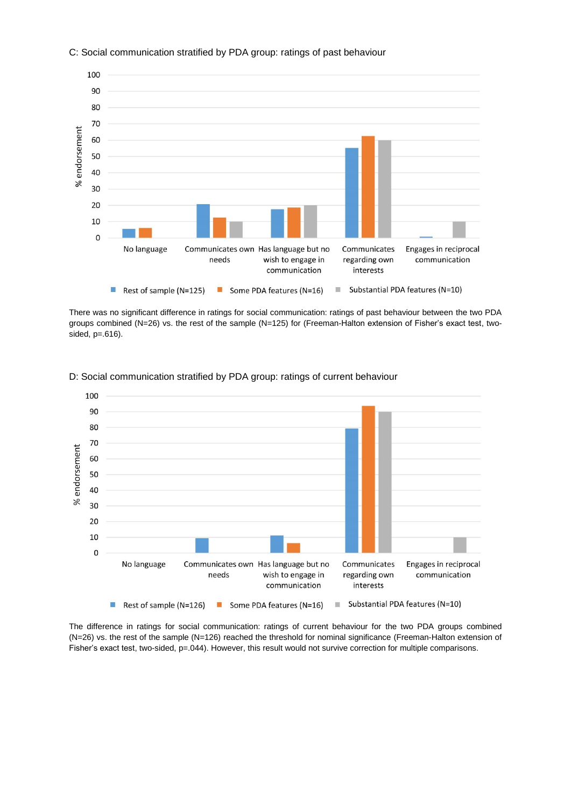

#### C: Social communication stratified by PDA group: ratings of past behaviour

There was no significant difference in ratings for social communication: ratings of past behaviour between the two PDA groups combined (N=26) vs. the rest of the sample (N=125) for (Freeman-Halton extension of Fisher's exact test, twosided, p=.616).



D: Social communication stratified by PDA group: ratings of current behaviour

The difference in ratings for social communication: ratings of current behaviour for the two PDA groups combined (N=26) vs. the rest of the sample (N=126) reached the threshold for nominal significance (Freeman-Halton extension of Fisher's exact test, two-sided, p=.044). However, this result would not survive correction for multiple comparisons.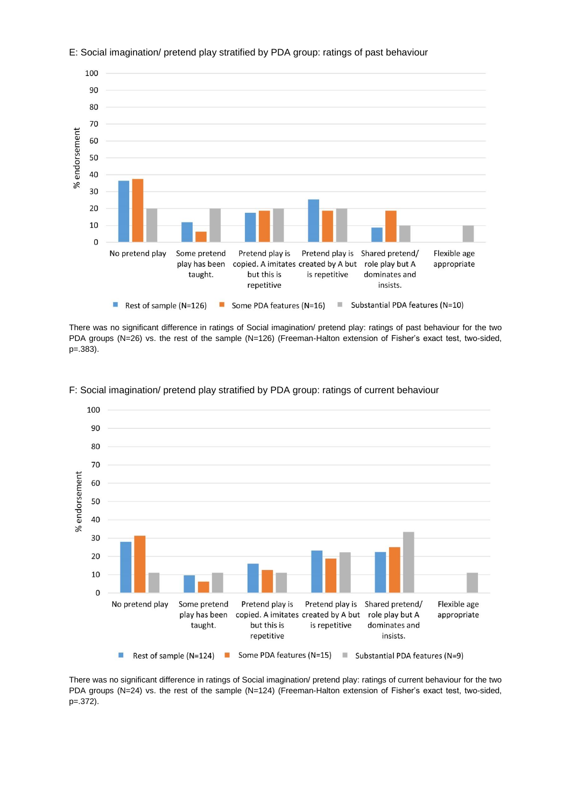

E: Social imagination/ pretend play stratified by PDA group: ratings of past behaviour

There was no significant difference in ratings of Social imagination/ pretend play: ratings of past behaviour for the two PDA groups (N=26) vs. the rest of the sample (N=126) (Freeman-Halton extension of Fisher's exact test, two-sided, p=.383).



#### F: Social imagination/ pretend play stratified by PDA group: ratings of current behaviour

There was no significant difference in ratings of Social imagination/ pretend play: ratings of current behaviour for the two PDA groups (N=24) vs. the rest of the sample (N=124) (Freeman-Halton extension of Fisher's exact test, two-sided, p=.372).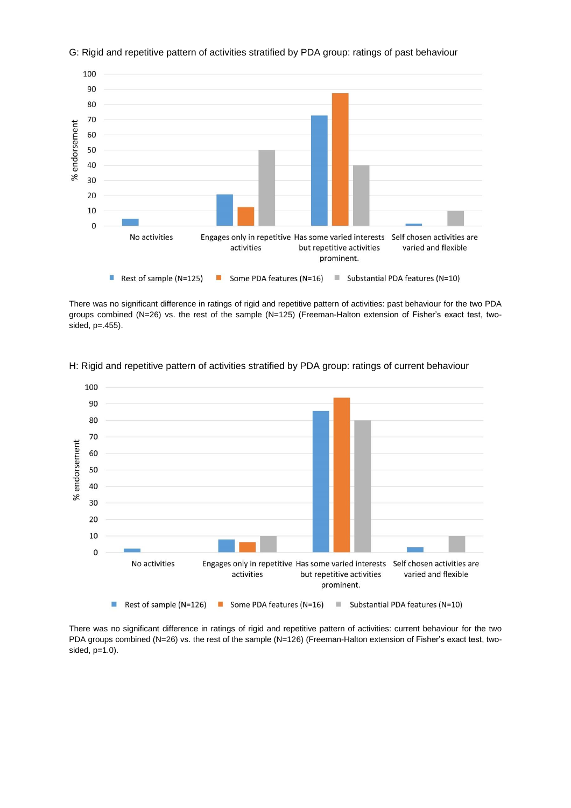

G: Rigid and repetitive pattern of activities stratified by PDA group: ratings of past behaviour

There was no significant difference in ratings of rigid and repetitive pattern of activities: past behaviour for the two PDA groups combined (N=26) vs. the rest of the sample (N=125) (Freeman-Halton extension of Fisher's exact test, twosided, p=.455).



H: Rigid and repetitive pattern of activities stratified by PDA group: ratings of current behaviour

There was no significant difference in ratings of rigid and repetitive pattern of activities: current behaviour for the two PDA groups combined (N=26) vs. the rest of the sample (N=126) (Freeman-Halton extension of Fisher's exact test, twosided, p=1.0).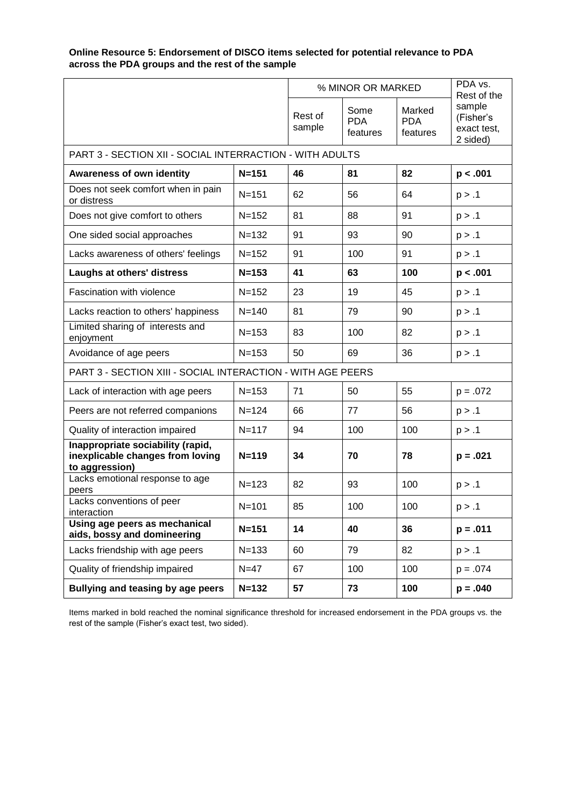# **Online Resource 5: Endorsement of DISCO items selected for potential relevance to PDA across the PDA groups and the rest of the sample**

|                                                                                         |           | % MINOR OR MARKED |                                |                                  | PDA vs.<br>Rest of the                         |  |
|-----------------------------------------------------------------------------------------|-----------|-------------------|--------------------------------|----------------------------------|------------------------------------------------|--|
|                                                                                         |           | Rest of<br>sample | Some<br><b>PDA</b><br>features | Marked<br><b>PDA</b><br>features | sample<br>(Fisher's<br>exact test,<br>2 sided) |  |
| PART 3 - SECTION XII - SOCIAL INTERRACTION - WITH ADULTS                                |           |                   |                                |                                  |                                                |  |
| <b>Awareness of own identity</b>                                                        | $N = 151$ | 46                | 81                             | 82                               | p < .001                                       |  |
| Does not seek comfort when in pain<br>or distress                                       | $N = 151$ | 62                | 56                             | 64                               | p > .1                                         |  |
| Does not give comfort to others                                                         | $N = 152$ | 81                | 88                             | 91                               | p > .1                                         |  |
| One sided social approaches                                                             | $N = 132$ | 91                | 93                             | 90                               | p > .1                                         |  |
| Lacks awareness of others' feelings                                                     | $N = 152$ | 91                | 100                            | 91                               | p > .1                                         |  |
| Laughs at others' distress                                                              | $N = 153$ | 41                | 63                             | 100                              | p < .001                                       |  |
| Fascination with violence                                                               | $N = 152$ | 23                | 19                             | 45                               | p > .1                                         |  |
| Lacks reaction to others' happiness                                                     | $N = 140$ | 81                | 79                             | 90                               | p > .1                                         |  |
| Limited sharing of interests and<br>enjoyment                                           | $N = 153$ | 83                | 100                            | 82                               | p > .1                                         |  |
| Avoidance of age peers                                                                  | $N = 153$ | 50                | 69                             | 36                               | p > .1                                         |  |
| PART 3 - SECTION XIII - SOCIAL INTERACTION - WITH AGE PEERS                             |           |                   |                                |                                  |                                                |  |
| Lack of interaction with age peers                                                      | $N = 153$ | 71                | 50                             | 55                               | $p = .072$                                     |  |
| Peers are not referred companions                                                       | $N = 124$ | 66                | 77                             | 56                               | p > .1                                         |  |
| Quality of interaction impaired                                                         | $N = 117$ | 94                | 100                            | 100                              | p > .1                                         |  |
| Inappropriate sociability (rapid,<br>inexplicable changes from loving<br>to aggression) | $N = 119$ | 34                | 70                             | 78                               | $p = .021$                                     |  |
| Lacks emotional response to age<br>peers                                                | $N = 123$ | 82                | 93                             | 100                              | p > .1                                         |  |
| Lacks conventions of peer<br>interaction                                                | $N = 101$ | 85                | 100                            | 100                              | p > .1                                         |  |
| Using age peers as mechanical<br>aids, bossy and domineering                            | $N = 151$ | 14                | 40                             | 36                               | $p = .011$                                     |  |
| Lacks friendship with age peers                                                         | $N = 133$ | 60                | 79                             | 82                               | p > .1                                         |  |
| Quality of friendship impaired                                                          | $N=47$    | 67                | 100                            | 100                              | $p = .074$                                     |  |
| Bullying and teasing by age peers<br>$N = 132$                                          |           | 57                | 73                             | 100                              | $p = .040$                                     |  |

Items marked in bold reached the nominal significance threshold for increased endorsement in the PDA groups vs. the rest of the sample (Fisher's exact test, two sided).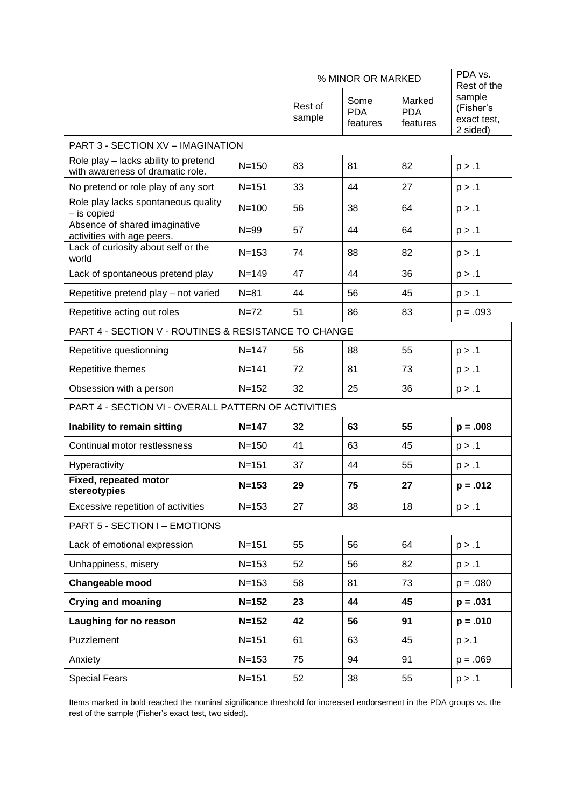|                                                                          |           | % MINOR OR MARKED |                                | PDA vs.<br>Rest of the           |                                                |  |
|--------------------------------------------------------------------------|-----------|-------------------|--------------------------------|----------------------------------|------------------------------------------------|--|
|                                                                          |           | Rest of<br>sample | Some<br><b>PDA</b><br>features | Marked<br><b>PDA</b><br>features | sample<br>(Fisher's<br>exact test,<br>2 sided) |  |
| PART 3 - SECTION XV - IMAGINATION                                        |           |                   |                                |                                  |                                                |  |
| Role play - lacks ability to pretend<br>with awareness of dramatic role. | $N = 150$ | 83                | 81                             | 82                               | p > .1                                         |  |
| No pretend or role play of any sort                                      | $N = 151$ | 33                | 44                             | 27                               | p > .1                                         |  |
| Role play lacks spontaneous quality<br>- is copied                       | $N = 100$ | 56                | 38                             | 64                               | p > .1                                         |  |
| Absence of shared imaginative<br>activities with age peers.              | $N = 99$  | 57                | 44                             | 64                               | p > .1                                         |  |
| Lack of curiosity about self or the<br>world                             | $N = 153$ | 74                | 88                             | 82                               | p > .1                                         |  |
| Lack of spontaneous pretend play                                         | $N = 149$ | 47                | 44                             | 36                               | p > .1                                         |  |
| Repetitive pretend play - not varied                                     | $N = 81$  | 44                | 56                             | 45                               | p > .1                                         |  |
| Repetitive acting out roles                                              | $N=72$    | 51                | 86                             | 83                               | $p = .093$                                     |  |
| PART 4 - SECTION V - ROUTINES & RESISTANCE TO CHANGE                     |           |                   |                                |                                  |                                                |  |
| Repetitive questionning                                                  | $N = 147$ | 56                | 88                             | 55                               | p > .1                                         |  |
| Repetitive themes                                                        | $N = 141$ | 72                | 81                             | 73                               | p > .1                                         |  |
| Obsession with a person                                                  | $N = 152$ | 32                | 25                             | 36                               | p > .1                                         |  |
| PART 4 - SECTION VI - OVERALL PATTERN OF ACTIVITIES                      |           |                   |                                |                                  |                                                |  |
| Inability to remain sitting                                              | $N = 147$ | 32                | 63                             | 55                               | $p = .008$                                     |  |
| Continual motor restlessness                                             | $N = 150$ | 41                | 63                             | 45                               | p > .1                                         |  |
| Hyperactivity                                                            | $N = 151$ | 37                | 44                             | 55                               | p > .1                                         |  |
| Fixed, repeated motor<br>stereotypies                                    | $N = 153$ | 29                | 75                             | 27                               | $p = .012$                                     |  |
| Excessive repetition of activities                                       | $N = 153$ | 27                | 38                             | 18                               | p > .1                                         |  |
| PART 5 - SECTION I - EMOTIONS                                            |           |                   |                                |                                  |                                                |  |
| Lack of emotional expression                                             | $N = 151$ | 55                | 56                             | 64                               | p > .1                                         |  |
| Unhappiness, misery                                                      | $N = 153$ | 52                | 56                             | 82                               | p > .1                                         |  |
| Changeable mood                                                          | $N = 153$ | 58                | 81                             | 73                               | $p = .080$                                     |  |
| <b>Crying and moaning</b>                                                | $N = 152$ | 23                | 44                             | 45                               | $p = .031$                                     |  |
| Laughing for no reason                                                   | $N = 152$ | 42                | 56                             | 91                               | $p = .010$                                     |  |
| Puzzlement                                                               | $N = 151$ | 61                | 63                             | 45                               | p > 1                                          |  |
| Anxiety                                                                  | $N = 153$ | 75                | 94                             | 91                               | $p = .069$                                     |  |
| <b>Special Fears</b>                                                     | $N = 151$ | 52                | 38                             | 55                               | p > .1                                         |  |

Items marked in bold reached the nominal significance threshold for increased endorsement in the PDA groups vs. the rest of the sample (Fisher's exact test, two sided).